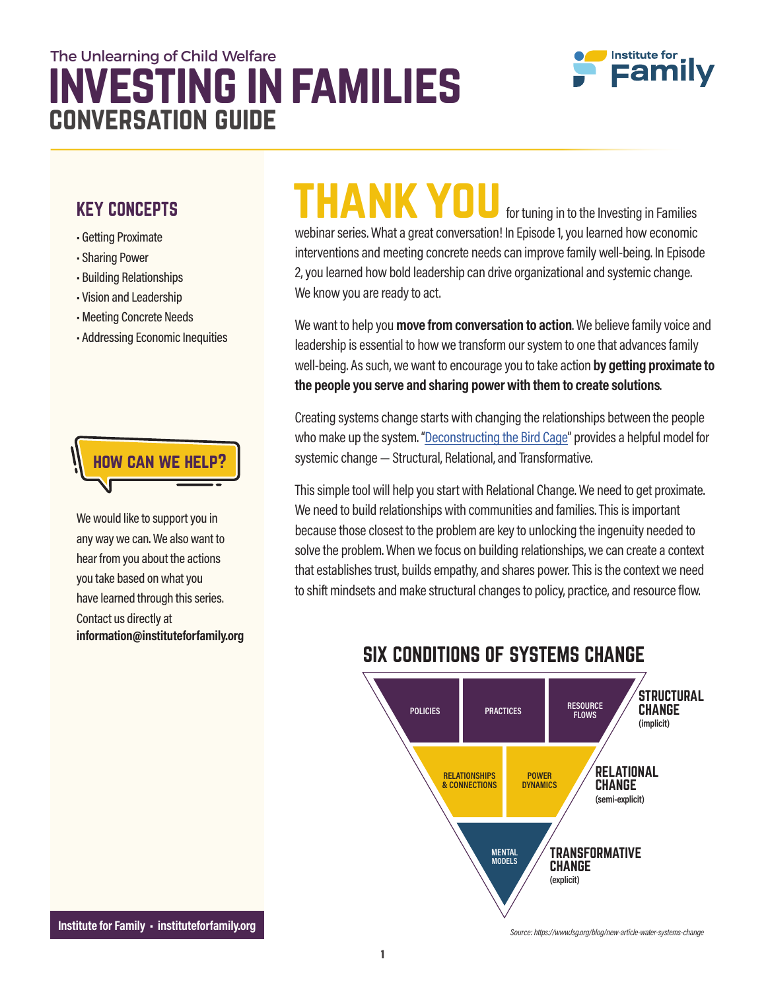### investing in families The Unlearning of Child Welfare conversation guide



#### KEY CONCEPTS

- Getting Proximate
- Sharing Power
- Building Relationships
- Vision and Leadership
- Meeting Concrete Needs
- Addressing Economic Inequities



We would like to support you in any way we can. We also want to hear from you about the actions you take based on what you have learned through this series. Contact us directly at information@instituteforfamily.org

## THANK YOU for tuning in to the Investing in Families

webinar series. What a great conversation! In Episode 1, you learned how economic interventions and meeting concrete needs can improve family well-being. In Episode 2,you learned how bold leadership can drive organizational and systemicchange. We know you are ready to act.

We want to help you move from conversation to action. We believe family voice and leadership is essential to how we transform our system to one that advances family well-being. As such, we want to encourage you to take action by getting proximate to the people you serve and sharing power with them to create solutions.

Creating systems change starts with changing the relationships between the people who make up the system. "Deconstructing the Bird Cage" provides a helpful model for systemic change — Structural, Relational, and Transformative.

Thissimple tool will help you start with Relational Change.We need to get proximate. We need to build relationships with communities and families. This is important because those closest to the problemare keyto unlocking the ingenuity needed to solve the problem. When we focus on building relationships, we can create a context that establishes trust, builds empathy, and shares power. This is the context we need to shift mindsets and make structural changes to policy, practice, and resource flow.



#### SIX CONDITIONS OF SYSTEMS CHANGE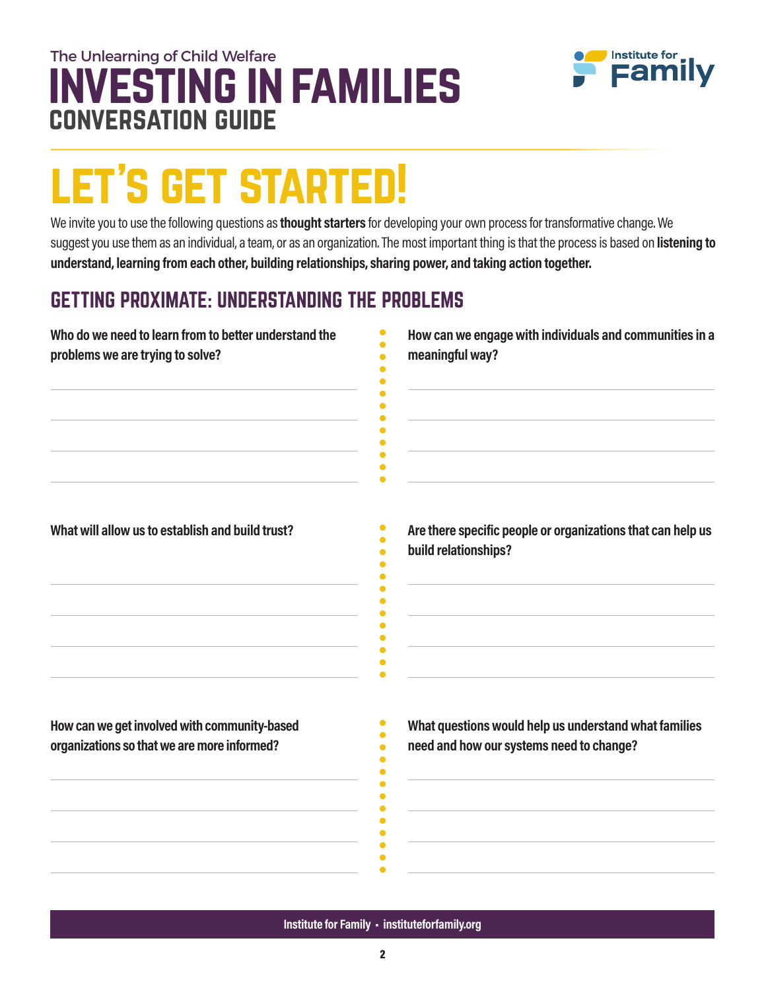#### **NVESTING IN FAMILIES** The Unlearning of Child Welfare conversation guide



# let's get started!

We invite you to use the following questions as thought starters for developing your own process for transformative change. We suggest you use them as an individual, a team, or as an organization. The most important thing is that the process is based on listening to understand, learning from each other, building relationships, sharing power, and taking action together.

#### GETTING PROXIMATE: UNDERSTANDING THE PROBLEMS

| Who do we need to learn from to better understand the | How can we engage with individuals and communities in a                             |
|-------------------------------------------------------|-------------------------------------------------------------------------------------|
| problems we are trying to solve?                      | meaningful way?                                                                     |
| What will allow us to establish and build trust?      | Are there specific people or organizations that can help us<br>build relationships? |
| How can we get involved with community-based          | What questions would help us understand what families                               |
| organizations so that we are more informed?           | need and how our systems need to change?                                            |
|                                                       |                                                                                     |